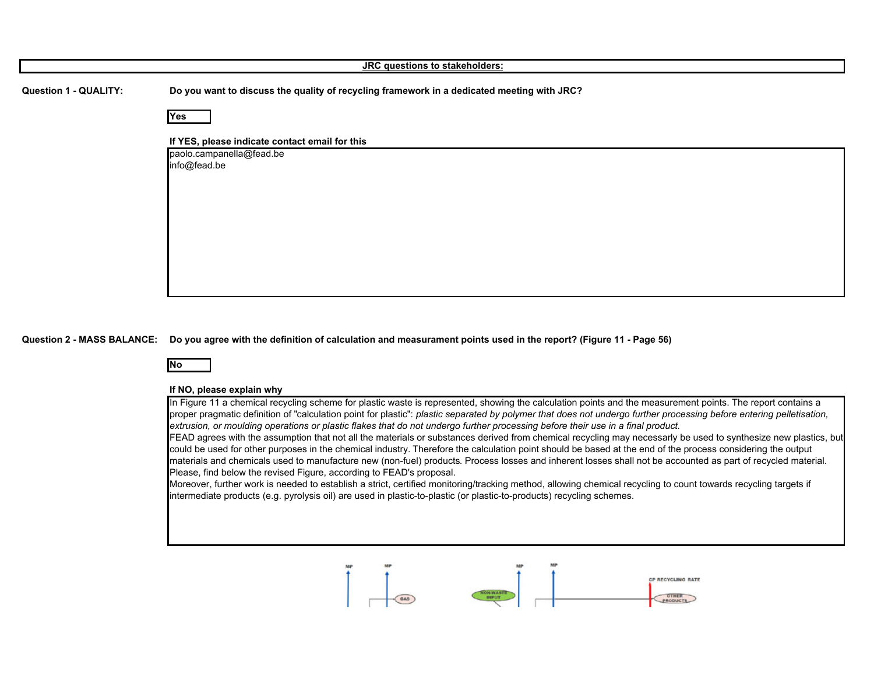| JRC questions to stakeholders: |                                                                                            |
|--------------------------------|--------------------------------------------------------------------------------------------|
| <b>Question 1 - QUALITY:</b>   | Do you want to discuss the quality of recycling framework in a dedicated meeting with JRC? |
|                                | Yes                                                                                        |
|                                | If YES, please indicate contact email for this                                             |
|                                | paolo.campanella@fead.be<br>info@fead.be                                                   |
|                                |                                                                                            |
|                                |                                                                                            |
|                                |                                                                                            |
|                                |                                                                                            |
|                                |                                                                                            |
|                                |                                                                                            |

**Question 2 - MASS BALANCE: Do you agree with the definition of calculation and measurament points used in the report? (Figure 11 - Page 56)**



## **If NO, please explain why**

In Figure 11 a chemical recycling scheme for plastic waste is represented, showing the calculation points and the measurement points. The report contains a proper pragmatic definition of "calculation point for plastic": *plastic separated by polymer that does not undergo further processing before entering pelletisation, extrusion, or moulding operations or plastic flakes that do not undergo further processing before their use in a final product.*

FEAD agrees with the assumption that not all the materials or substances derived from chemical recycling may necessarly be used to synthesize new plastics, but could be used for other purposes in the chemical industry. Therefore the calculation point should be based at the end of the process considering the output materials and chemicals used to manufacture new (non-fuel) products. Process losses and inherent losses shall not be accounted as part of recycled material. Please, find below the revised Figure, according to FEAD's proposal.

Moreover, further work is needed to establish a strict, certified monitoring/tracking method, allowing chemical recycling to count towards recycling targets if intermediate products (e.g. pyrolysis oil) are used in plastic-to-plastic (or plastic-to-products) recycling schemes.

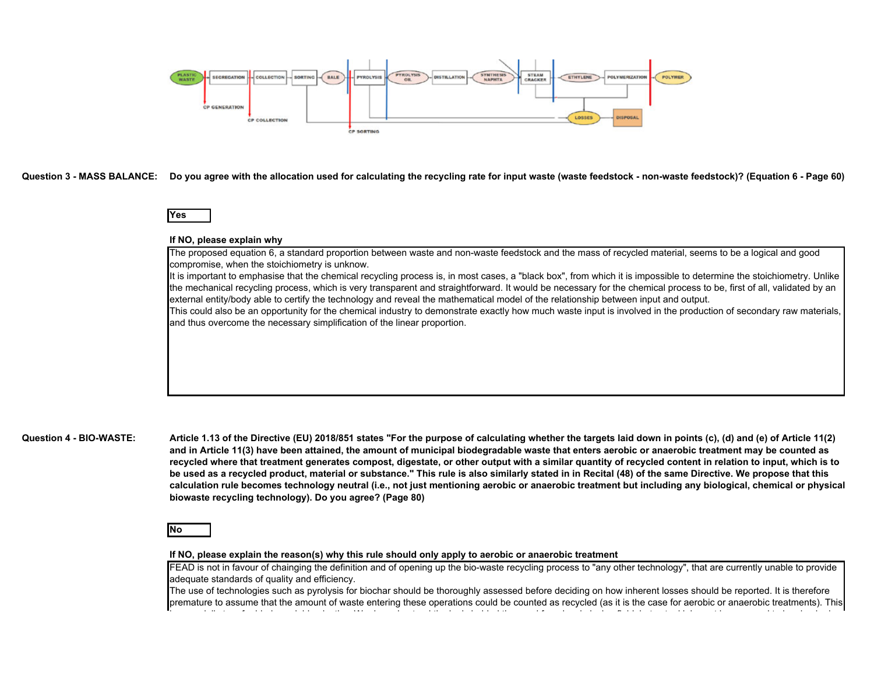

**Question 3 - MASS BALANCE: Do you agree with the allocation used for calculating the recycling rate for input waste (waste feedstock - non-waste feedstock)? (Equation 6 - Page 60)**

# **Yes**

## **If NO, please explain why**

The proposed equation 6, a standard proportion between waste and non-waste feedstock and the mass of recycled material, seems to be a logical and good compromise, when the stoichiometry is unknow.

It is important to emphasise that the chemical recycling process is, in most cases, a "black box", from which it is impossible to determine the stoichiometry. Unlike the mechanical recycling process, which is very transparent and straightforward. It would be necessary for the chemical process to be, first of all, validated by an external entity/body able to certify the technology and reveal the mathematical model of the relationship between input and output.

This could also be an opportunity for the chemical industry to demonstrate exactly how much waste input is involved in the production of secondary raw materials and thus overcome the necessary simplification of the linear proportion.

## **Question 4 - BIO-WASTE:**

**Article 1.13 of the Directive (EU) 2018/851 states "For the purpose of calculating whether the targets laid down in points (c), (d) and (e) of Article 11(2)**  and in Article 11(3) have been attained, the amount of municipal biodegradable waste that enters aerobic or anaerobic treatment may be counted as **recycled where that treatment generates compost, digestate, or other output with a similar quantity of recycled content in relation to input, which is to be used as a recycled product, material or substance." This rule is also similarly stated in in Recital (48) of the same Directive. We propose that this**  calculation rule becomes technology neutral (i.e., not just mentioning aerobic or anaerobic treatment but including any biological, chemical or physical **biowaste recycling technology). Do you agree? (Page 80)**

# **No**

#### **If NO, please explain the reason(s) why this rule should only apply to aerobic or anaerobic treatment**

FEAD is not in favour of chainging the definition and of opening up the bio-waste recycling process to "any other technology", that are currently unable to provide adequate standards of quality and efficiency.

The use of technologies such as pyrolysis for biochar should be thoroughly assessed before deciding on how inherent losses should be reported. It is therefore premature to assume that the amount of waste entering these operations could be counted as recycled (as it is the case for aerobic or anaerobic treatments). This i i ll t f bi d d bl l ti W d d t d th l i b hi d th d f l l l i fi ld b t t l i h t l d t b h k d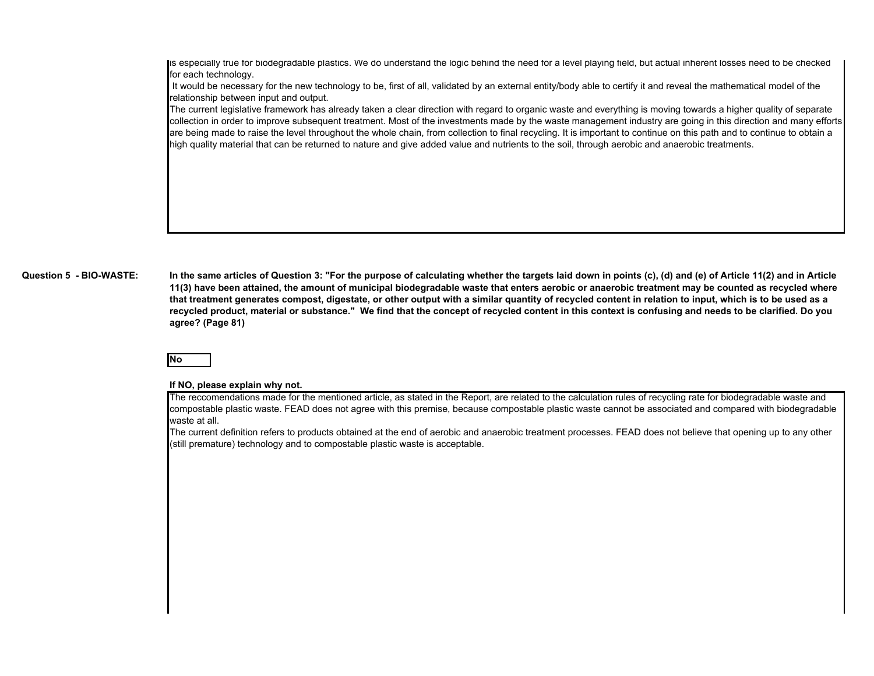is especially true for biodegradable plastics. We do understand the logic behind the need for a level playing field, but actual inherent losses need to be checked for each technology.

 It would be necessary for the new technology to be, first of all, validated by an external entity/body able to certify it and reveal the mathematical model of the relationship between input and output.

The current legislative framework has already taken a clear direction with regard to organic waste and everything is moving towards a higher quality of separate collection in order to improve subsequent treatment. Most of the investments made by the waste management industry are going in this direction and many efforts are being made to raise the level throughout the whole chain, from collection to final recycling. It is important to continue on this path and to continue to obtain a high quality material that can be returned to nature and give added value and nutrients to the soil, through aerobic and anaerobic treatments.

#### **Question 5 - BIO-WASTE:**

**In the same articles of Question 3: "For the purpose of calculating whether the targets laid down in points (c), (d) and (e) of Article 11(2) and in Article**  11(3) have been attained, the amount of municipal biodegradable waste that enters aerobic or anaerobic treatment may be counted as recycled where **that treatment generates compost, digestate, or other output with a similar quantity of recycled content in relation to input, which is to be used as a recycled product, material or substance." We find that the concept of recycled content in this context is confusing and needs to be clarified. Do you agree? (Page 81)**

# **No**

## **If NO, please explain why not.**

The reccomendations made for the mentioned article, as stated in the Report, are related to the calculation rules of recycling rate for biodegradable waste and compostable plastic waste. FEAD does not agree with this premise, because compostable plastic waste cannot be associated and compared with biodegradable waste at all.

The current definition refers to products obtained at the end of aerobic and anaerobic treatment processes. FEAD does not believe that opening up to any other (still premature) technology and to compostable plastic waste is acceptable.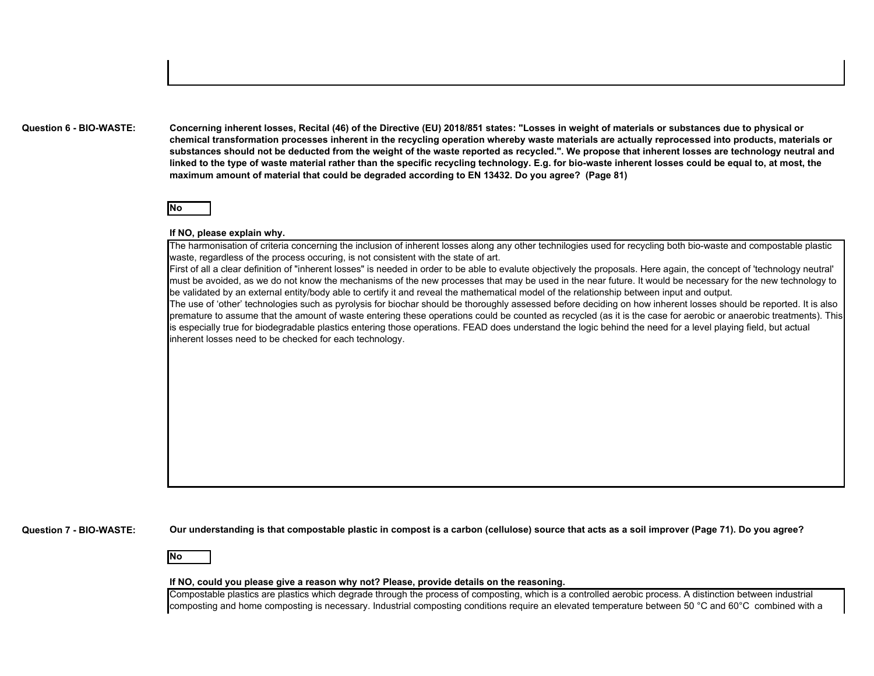**Question 6 - BIO-WASTE:**

**Concerning inherent losses, Recital (46) of the Directive (EU) 2018/851 states: "Losses in weight of materials or substances due to physical or chemical transformation processes inherent in the recycling operation whereby waste materials are actually reprocessed into products, materials or substances should not be deducted from the weight of the waste reported as recycled.". We propose that inherent losses are technology neutral and linked to the type of waste material rather than the specific recycling technology. E.g. for bio-waste inherent losses could be equal to, at most, the maximum amount of material that could be degraded according to EN 13432. Do you agree? (Page 81)**



### **If NO, please explain why.**

The harmonisation of criteria concerning the inclusion of inherent losses along any other technilogies used for recycling both bio-waste and compostable plastic waste, regardless of the process occuring, is not consistent with the state of art.

First of all a clear definition of "inherent losses" is needed in order to be able to evalute objectively the proposals. Here again, the concept of 'technology neutral' must be avoided, as we do not know the mechanisms of the new processes that may be used in the near future. It would be necessary for the new technology to be validated by an external entity/body able to certify it and reveal the mathematical model of the relationship between input and output.

The use of 'other' technologies such as pyrolysis for biochar should be thoroughly assessed before deciding on how inherent losses should be reported. It is also premature to assume that the amount of waste entering these operations could be counted as recycled (as it is the case for aerobic or anaerobic treatments). This is especially true for biodegradable plastics entering those operations. FEAD does understand the logic behind the need for a level playing field, but actual inherent losses need to be checked for each technology.

**Question 7 - BIO-WASTE:**

**Our understanding is that compostable plastic in compost is a carbon (cellulose) source that acts as a soil improver (Page 71). Do you agree?**

**No**

#### **If NO, could you please give a reason why not? Please, provide details on the reasoning.**

Compostable plastics are plastics which degrade through the process of composting, which is a controlled aerobic process. A distinction between industrial composting and home composting is necessary. Industrial composting conditions require an elevated temperature between 50 °C and 60°C combined with a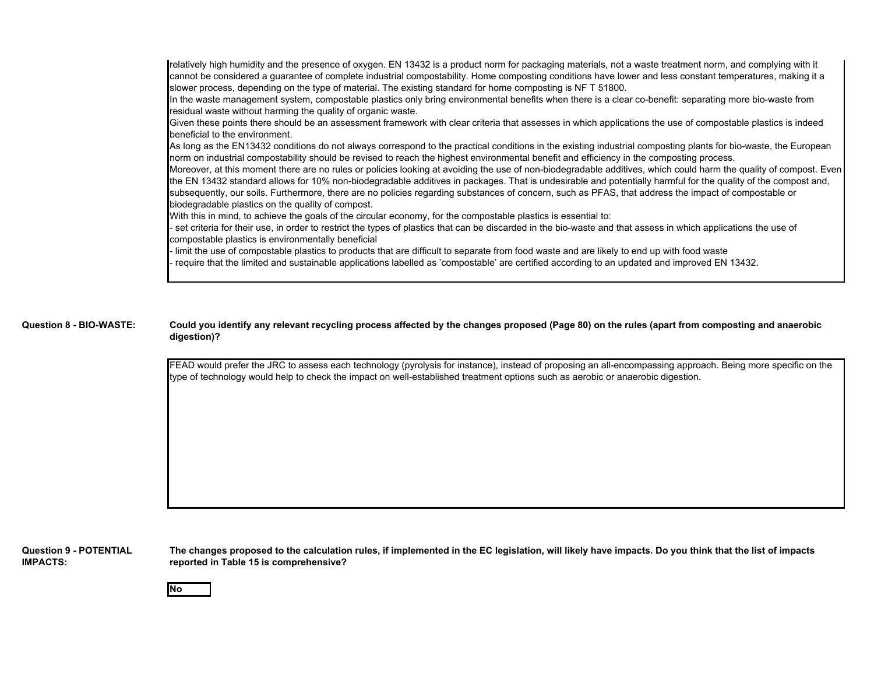relatively high humidity and the presence of oxygen. EN 13432 is a product norm for packaging materials, not a waste treatment norm, and complying with it cannot be considered a guarantee of complete industrial compostability. Home composting conditions have lower and less constant temperatures, making it a slower process, depending on the type of material. The existing standard for home composting is NF T 51800.

In the waste management system, compostable plastics only bring environmental benefits when there is a clear co-benefit: separating more bio-waste from residual waste without harming the quality of organic waste.

Given these points there should be an assessment framework with clear criteria that assesses in which applications the use of compostable plastics is indeed beneficial to the environment.

As long as the EN13432 conditions do not always correspond to the practical conditions in the existing industrial composting plants for bio-waste, the European norm on industrial compostability should be revised to reach the highest environmental benefit and efficiency in the composting process.

Moreover, at this moment there are no rules or policies looking at avoiding the use of non-biodegradable additives, which could harm the quality of compost. Even the EN 13432 standard allows for 10% non-biodegradable additives in packages. That is undesirable and potentially harmful for the quality of the compost and, subsequently, our soils. Furthermore, there are no policies regarding substances of concern, such as PFAS, that address the impact of compostable or biodegradable plastics on the quality of compost.

With this in mind, to achieve the goals of the circular economy, for the compostable plastics is essential to:

- set criteria for their use, in order to restrict the types of plastics that can be discarded in the bio-waste and that assess in which applications the use of compostable plastics is environmentally beneficial

- limit the use of compostable plastics to products that are difficult to separate from food waste and are likely to end up with food waste

- require that the limited and sustainable applications labelled as 'compostable' are certified according to an updated and improved EN 13432.

#### **Question 8 - BIO-WASTE: Could you identify any relevant recycling process affected by the changes proposed (Page 80) on the rules (apart from composting and anaerobic digestion)?**

FEAD would prefer the JRC to assess each technology (pyrolysis for instance), instead of proposing an all-encompassing approach. Being more specific on the type of technology would help to check the impact on well-established treatment options such as aerobic or anaerobic digestion.

**Question 9 - POTENTIAL IMPACTS:**

**The changes proposed to the calculation rules, if implemented in the EC legislation, will likely have impacts. Do you think that the list of impacts reported in Table 15 is comprehensive?** 

**No**